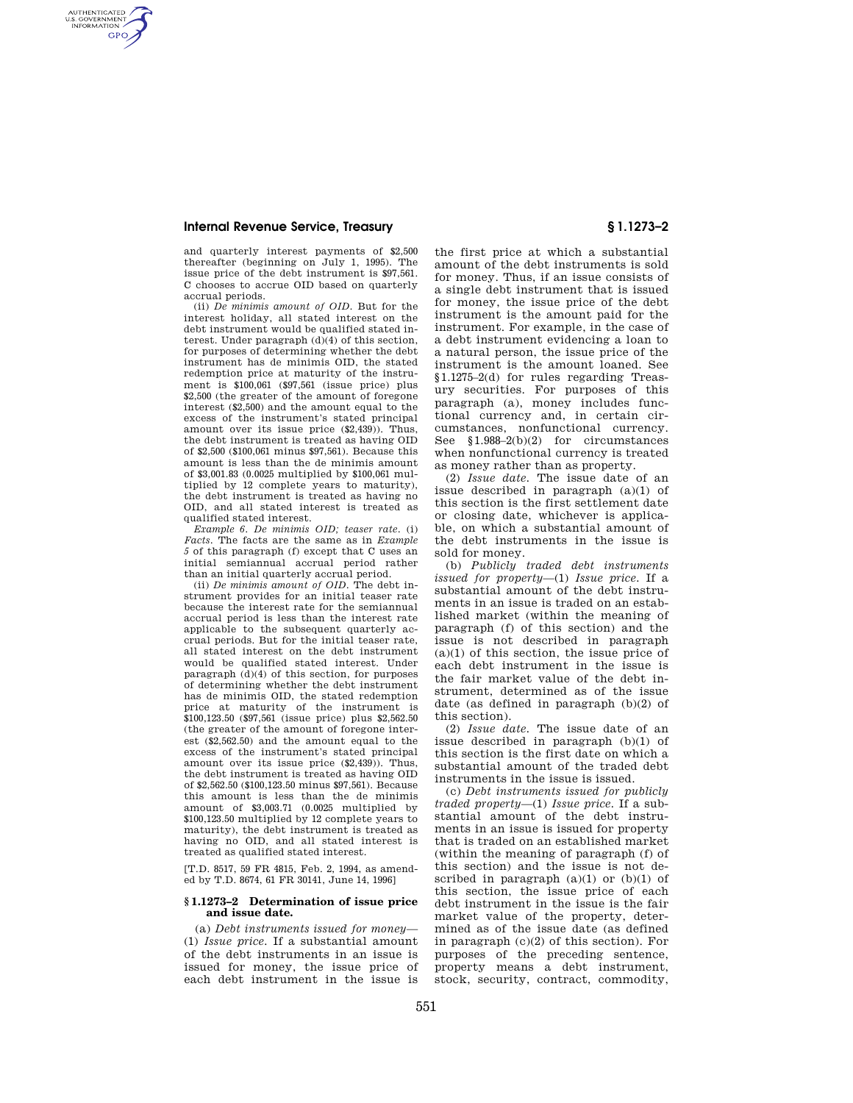## **Internal Revenue Service, Treasury § 1.1273–2**

AUTHENTICATED<br>U.S. GOVERNMENT<br>INFORMATION **GPO** 

> and quarterly interest payments of \$2,500 thereafter (beginning on July 1, 1995). The issue price of the debt instrument is \$97,561. C chooses to accrue OID based on quarterly accrual periods.

> (ii) *De minimis amount of OID.* But for the interest holiday, all stated interest on the debt instrument would be qualified stated interest. Under paragraph (d)(4) of this section, for purposes of determining whether the debt instrument has de minimis OID, the stated redemption price at maturity of the instrument is \$100,061 (\$97,561 (issue price) plus \$2,500 (the greater of the amount of foregone interest (\$2,500) and the amount equal to the excess of the instrument's stated principal amount over its issue price (\$2,439)). Thus, the debt instrument is treated as having OID of \$2,500 (\$100,061 minus \$97,561). Because this amount is less than the de minimis amount of \$3,001.83 (0.0025 multiplied by \$100,061 multiplied by 12 complete years to maturity), the debt instrument is treated as having no OID, and all stated interest is treated as qualified stated interest.

> *Example 6. De minimis OID; teaser rate.* (i) *Facts.* The facts are the same as in *Example 5* of this paragraph (f) except that C uses an initial semiannual accrual period rather than an initial quarterly accrual period.

> (ii) *De minimis amount of OID.* The debt instrument provides for an initial teaser rate because the interest rate for the semiannual accrual period is less than the interest rate applicable to the subsequent quarterly accrual periods. But for the initial teaser rate, all stated interest on the debt instrument would be qualified stated interest. Under paragraph (d)(4) of this section, for purposes of determining whether the debt instrument has de minimis OID, the stated redemption price at maturity of the instrument is \$100,123.50 (\$97,561 (issue price) plus \$2,562.50 (the greater of the amount of foregone interest (\$2,562.50) and the amount equal to the excess of the instrument's stated principal amount over its issue price (\$2,439)). Thus, the debt instrument is treated as having OID of \$2,562.50 (\$100,123.50 minus \$97,561). Because this amount is less than the de minimis amount of \$3,003.71 (0.0025 multiplied by \$100,123.50 multiplied by 12 complete years to maturity), the debt instrument is treated as having no OID, and all stated interest is treated as qualified stated interest.

[T.D. 8517, 59 FR 4815, Feb. 2, 1994, as amended by T.D. 8674, 61 FR 30141, June 14, 1996]

## **§ 1.1273–2 Determination of issue price and issue date.**

(a) *Debt instruments issued for money*— (1) *Issue price.* If a substantial amount of the debt instruments in an issue is issued for money, the issue price of each debt instrument in the issue is

the first price at which a substantial amount of the debt instruments is sold for money. Thus, if an issue consists of a single debt instrument that is issued for money, the issue price of the debt instrument is the amount paid for the instrument. For example, in the case of a debt instrument evidencing a loan to a natural person, the issue price of the instrument is the amount loaned. See §1.1275–2(d) for rules regarding Treasury securities. For purposes of this paragraph (a), money includes functional currency and, in certain circumstances, nonfunctional currency. See §1.988–2(b)(2) for circumstances when nonfunctional currency is treated as money rather than as property.

(2) *Issue date.* The issue date of an issue described in paragraph (a)(1) of this section is the first settlement date or closing date, whichever is applicable, on which a substantial amount of the debt instruments in the issue is sold for money.

(b) *Publicly traded debt instruments issued for property*—(1) *Issue price.* If a substantial amount of the debt instruments in an issue is traded on an established market (within the meaning of paragraph (f) of this section) and the issue is not described in paragraph  $(a)(1)$  of this section, the issue price of each debt instrument in the issue is the fair market value of the debt instrument, determined as of the issue date (as defined in paragraph (b)(2) of this section).

(2) *Issue date.* The issue date of an issue described in paragraph (b)(1) of this section is the first date on which a substantial amount of the traded debt instruments in the issue is issued.

(c) *Debt instruments issued for publicly traded property*—(1) *Issue price.* If a substantial amount of the debt instruments in an issue is issued for property that is traded on an established market (within the meaning of paragraph (f) of this section) and the issue is not described in paragraph  $(a)(1)$  or  $(b)(1)$  of this section, the issue price of each debt instrument in the issue is the fair market value of the property, determined as of the issue date (as defined in paragraph (c)(2) of this section). For purposes of the preceding sentence, property means a debt instrument, stock, security, contract, commodity,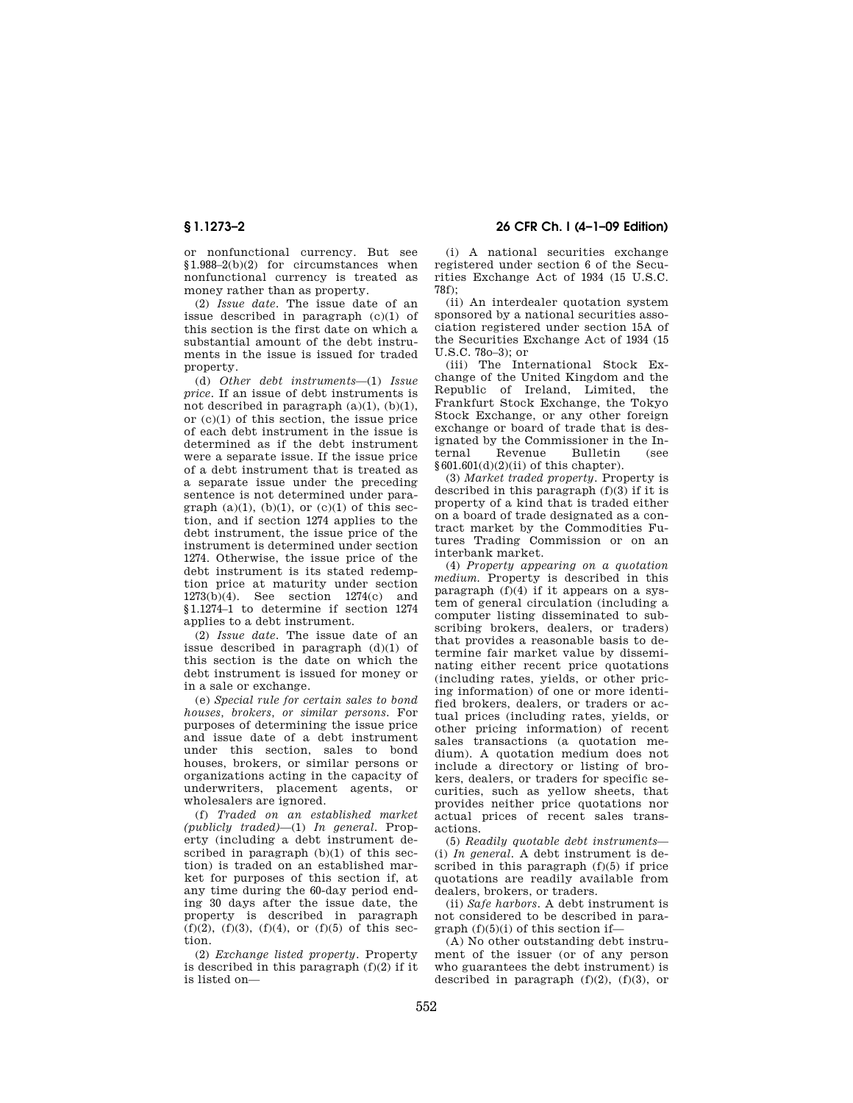or nonfunctional currency. But see §1.988–2(b)(2) for circumstances when nonfunctional currency is treated as money rather than as property.

(2) *Issue date.* The issue date of an issue described in paragraph (c)(1) of this section is the first date on which a substantial amount of the debt instruments in the issue is issued for traded property.

(d) *Other debt instruments*—(1) *Issue price.* If an issue of debt instruments is not described in paragraph  $(a)(1)$ ,  $(b)(1)$ , or (c)(1) of this section, the issue price of each debt instrument in the issue is determined as if the debt instrument were a separate issue. If the issue price of a debt instrument that is treated as a separate issue under the preceding sentence is not determined under paragraph  $(a)(1)$ ,  $(b)(1)$ , or  $(c)(1)$  of this section, and if section 1274 applies to the debt instrument, the issue price of the instrument is determined under section 1274. Otherwise, the issue price of the debt instrument is its stated redemption price at maturity under section 1273(b)(4). See section 1274(c) and §1.1274–1 to determine if section 1274 applies to a debt instrument.

(2) *Issue date.* The issue date of an issue described in paragraph (d)(1) of this section is the date on which the debt instrument is issued for money or in a sale or exchange.

(e) *Special rule for certain sales to bond houses, brokers, or similar persons.* For purposes of determining the issue price and issue date of a debt instrument under this section, sales to bond houses, brokers, or similar persons or organizations acting in the capacity of underwriters, placement agents, or wholesalers are ignored.

(f) *Traded on an established market (publicly traded)*—(1) *In general.* Property (including a debt instrument described in paragraph (b)(1) of this section) is traded on an established market for purposes of this section if, at any time during the 60-day period ending 30 days after the issue date, the property is described in paragraph  $(f)(2)$ ,  $(f)(3)$ ,  $(f)(4)$ , or  $(f)(5)$  of this section.

(2) *Exchange listed property.* Property is described in this paragraph  $(f)(2)$  if it is listed on—

**§ 1.1273–2 26 CFR Ch. I (4–1–09 Edition)** 

(i) A national securities exchange registered under section 6 of the Securities Exchange Act of 1934 (15 U.S.C. 78f);

(ii) An interdealer quotation system sponsored by a national securities association registered under section 15A of the Securities Exchange Act of 1934 (15 U.S.C. 78o–3); or

(iii) The International Stock Exchange of the United Kingdom and the Republic of Ireland, Limited, the Frankfurt Stock Exchange, the Tokyo Stock Exchange, or any other foreign exchange or board of trade that is designated by the Commissioner in the In-Bulletin (see  $§601.601(d)(2)(ii)$  of this chapter).

(3) *Market traded property.* Property is described in this paragraph (f)(3) if it is property of a kind that is traded either on a board of trade designated as a contract market by the Commodities Futures Trading Commission or on an interbank market.

(4) *Property appearing on a quotation medium.* Property is described in this paragraph (f)(4) if it appears on a system of general circulation (including a computer listing disseminated to subscribing brokers, dealers, or traders) that provides a reasonable basis to determine fair market value by disseminating either recent price quotations (including rates, yields, or other pricing information) of one or more identified brokers, dealers, or traders or actual prices (including rates, yields, or other pricing information) of recent sales transactions (a quotation medium). A quotation medium does not include a directory or listing of brokers, dealers, or traders for specific securities, such as yellow sheets, that provides neither price quotations nor actual prices of recent sales transactions.

(5) *Readily quotable debt instruments*— (i) *In general.* A debt instrument is described in this paragraph (f)(5) if price quotations are readily available from dealers, brokers, or traders.

(ii) *Safe harbors.* A debt instrument is not considered to be described in paragraph  $(f)(5)(i)$  of this section if-

(A) No other outstanding debt instrument of the issuer (or of any person who guarantees the debt instrument) is described in paragraph  $(f)(2)$ ,  $(f)(3)$ , or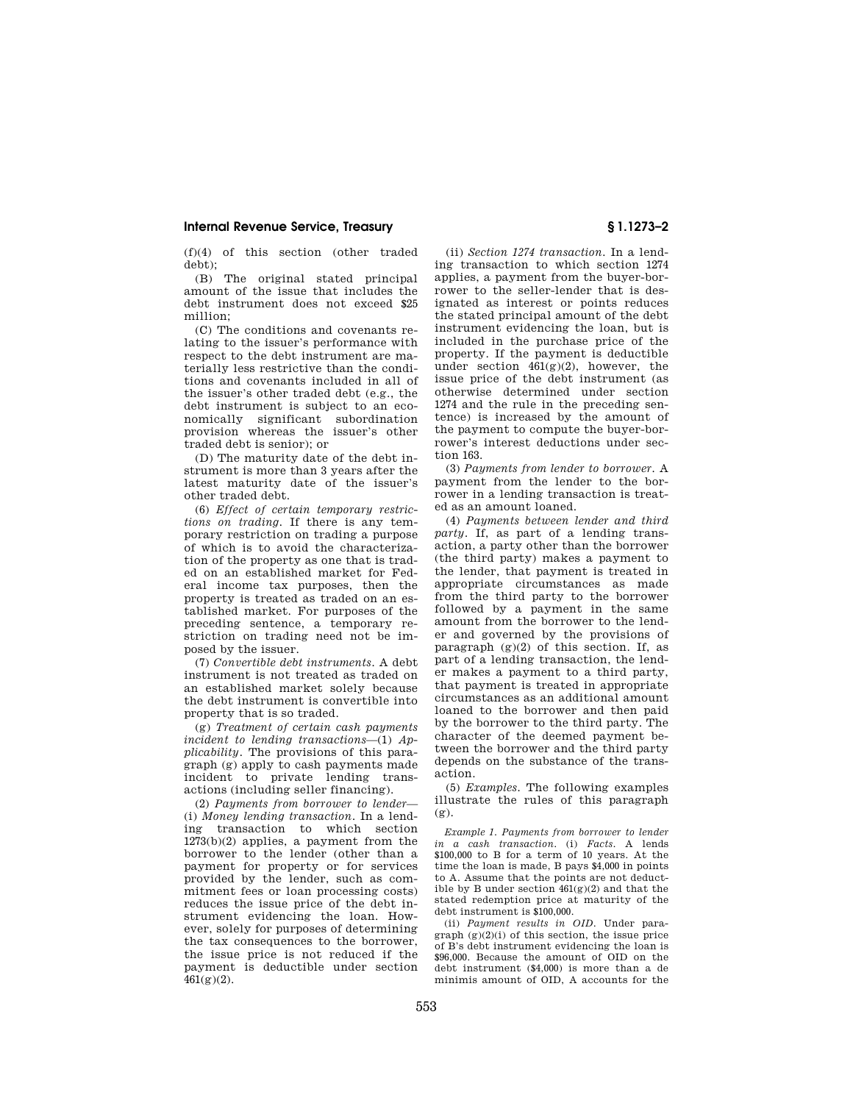### **Internal Revenue Service, Treasury § 1.1273–2**

(f)(4) of this section (other traded debt);

(B) The original stated principal amount of the issue that includes the debt instrument does not exceed \$25 million;

(C) The conditions and covenants relating to the issuer's performance with respect to the debt instrument are materially less restrictive than the conditions and covenants included in all of the issuer's other traded debt (e.g., the debt instrument is subject to an economically significant subordination provision whereas the issuer's other traded debt is senior); or

(D) The maturity date of the debt instrument is more than 3 years after the latest maturity date of the issuer's other traded debt.

(6) *Effect of certain temporary restrictions on trading.* If there is any temporary restriction on trading a purpose of which is to avoid the characterization of the property as one that is traded on an established market for Federal income tax purposes, then the property is treated as traded on an established market. For purposes of the preceding sentence, a temporary restriction on trading need not be imposed by the issuer.

(7) *Convertible debt instruments.* A debt instrument is not treated as traded on an established market solely because the debt instrument is convertible into property that is so traded.

(g) *Treatment of certain cash payments incident to lending transactions*—(1) *Applicability.* The provisions of this paragraph (g) apply to cash payments made incident to private lending transactions (including seller financing).

(2) *Payments from borrower to lender*— (i) *Money lending transaction.* In a lending transaction to which section 1273(b)(2) applies, a payment from the borrower to the lender (other than a payment for property or for services provided by the lender, such as commitment fees or loan processing costs) reduces the issue price of the debt instrument evidencing the loan. However, solely for purposes of determining the tax consequences to the borrower, the issue price is not reduced if the payment is deductible under section  $461(g)(2)$ .

(ii) *Section 1274 transaction.* In a lending transaction to which section 1274 applies, a payment from the buyer-borrower to the seller-lender that is designated as interest or points reduces the stated principal amount of the debt instrument evidencing the loan, but is included in the purchase price of the property. If the payment is deductible under section  $461(g)(2)$ , however, the issue price of the debt instrument (as otherwise determined under section 1274 and the rule in the preceding sentence) is increased by the amount of the payment to compute the buyer-borrower's interest deductions under section 163.

(3) *Payments from lender to borrower.* A payment from the lender to the borrower in a lending transaction is treated as an amount loaned.

(4) *Payments between lender and third party.* If, as part of a lending transaction, a party other than the borrower (the third party) makes a payment to the lender, that payment is treated in appropriate circumstances as made from the third party to the borrower followed by a payment in the same amount from the borrower to the lender and governed by the provisions of paragraph  $(g)(2)$  of this section. If, as part of a lending transaction, the lender makes a payment to a third party, that payment is treated in appropriate circumstances as an additional amount loaned to the borrower and then paid by the borrower to the third party. The character of the deemed payment between the borrower and the third party depends on the substance of the transaction.

(5) *Examples.* The following examples illustrate the rules of this paragraph (g).

*Example 1. Payments from borrower to lender in a cash transaction.* (i) *Facts.* A lends \$100,000 to B for a term of 10 years. At the time the loan is made, B pays \$4,000 in points to A. Assume that the points are not deductible by B under section 461(g)(2) and that the stated redemption price at maturity of the debt instrument is \$100,000.

(ii) *Payment results in OID.* Under para $graph (g)(2)(i)$  of this section, the issue price of B's debt instrument evidencing the loan is \$96,000. Because the amount of OID on the debt instrument (\$4,000) is more than a de minimis amount of OID, A accounts for the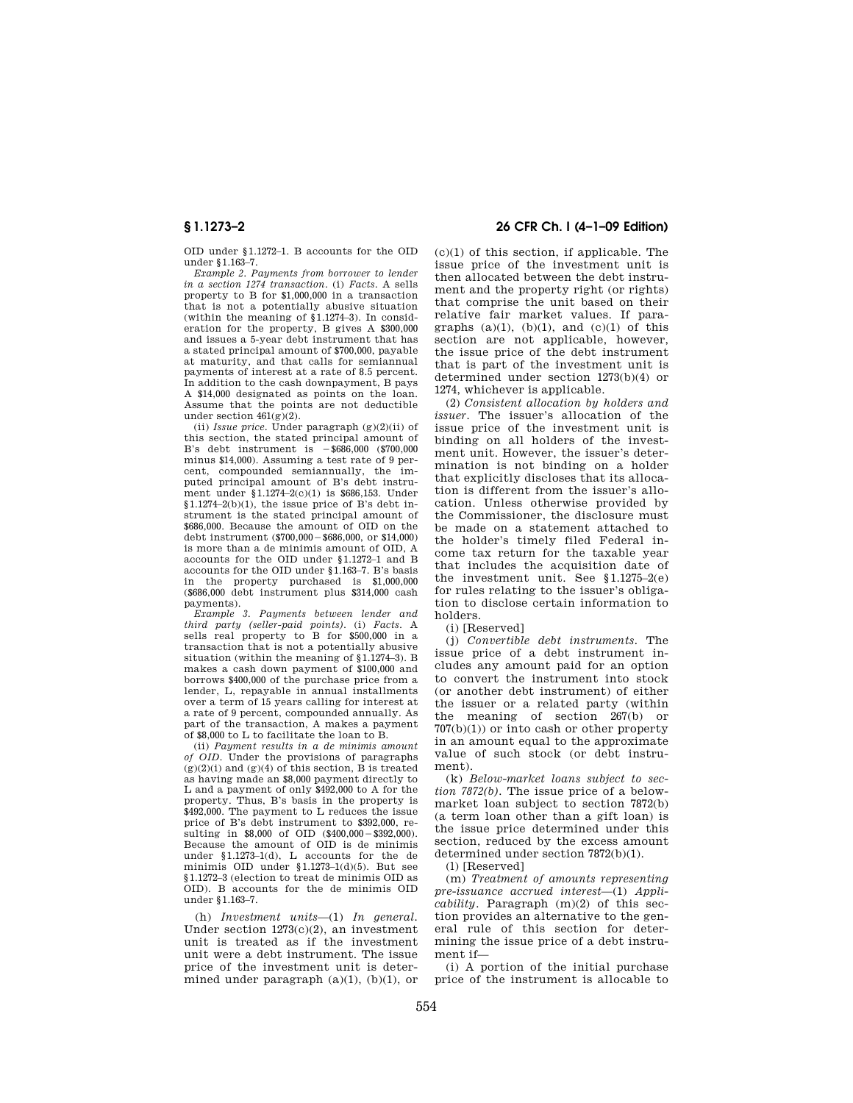OID under §1.1272–1. B accounts for the OID under §1.163–7.

*Example 2. Payments from borrower to lender in a section 1274 transaction.* (i) *Facts.* A sells property to B for \$1,000,000 in a transaction that is not a potentially abusive situation (within the meaning of §1.1274–3). In consideration for the property, B gives A \$300,000 and issues a 5-year debt instrument that has a stated principal amount of \$700,000, payable at maturity, and that calls for semiannual payments of interest at a rate of 8.5 percent. In addition to the cash downpayment, B pays A \$14,000 designated as points on the loan. Assume that the points are not deductible under section  $461(g)(2)$ .

(ii) *Issue price.* Under paragraph  $(g)(2)(ii)$  of this section, the stated principal amount of B's debt instrument is  $-$ \$686,000 (\$700,000) minus \$14,000). Assuming a test rate of 9 percent, compounded semiannually, the imputed principal amount of B's debt instrument under §1.1274–2(c)(1) is \$686,153. Under  $§1.1274-2(b)(1)$ , the issue price of B's debt instrument is the stated principal amount of \$686,000. Because the amount of OID on the debt instrument  $(\$700,000 - \$686,000,$  or  $\$14,000)$ is more than a de minimis amount of OID, A accounts for the OID under §1.1272–1 and B accounts for the OID under §1.163–7. B's basis in the property purchased is \$1,000,000 (\$686,000 debt instrument plus \$314,000 cash payments).

*Example 3. Payments between lender and third party (seller-paid points).* (i) *Facts.* A sells real property to B for \$500,000 in a transaction that is not a potentially abusive situation (within the meaning of §1.1274–3). B makes a cash down payment of \$100,000 and borrows \$400,000 of the purchase price from a lender, L, repayable in annual installments over a term of 15 years calling for interest at a rate of 9 percent, compounded annually. As part of the transaction, A makes a payment of \$8,000 to L to facilitate the loan to B.

(ii) *Payment results in a de minimis amount of OID.* Under the provisions of paragraphs  $(g)(2)(i)$  and  $(g)(4)$  of this section, B is treated as having made an \$8,000 payment directly to L and a payment of only \$492,000 to A for the property. Thus, B's basis in the property is \$492,000. The payment to L reduces the issue price of B's debt instrument to \$392,000, resulting in  $$8,000$  of OID  $($400,000 - $392,000)$ . Because the amount of OID is de minimis under §1.1273–1(d), L accounts for the de minimis OID under §1.1273–1(d)(5). But see §1.1272–3 (election to treat de minimis OID as OID). B accounts for the de minimis OID under §1.163–7.

(h) *Investment units*—(1) *In general.*  Under section 1273(c)(2), an investment unit is treated as if the investment unit were a debt instrument. The issue price of the investment unit is determined under paragraph  $(a)(1)$ ,  $(b)(1)$ , or

# **§ 1.1273–2 26 CFR Ch. I (4–1–09 Edition)**

 $(c)(1)$  of this section, if applicable. The issue price of the investment unit is then allocated between the debt instrument and the property right (or rights) that comprise the unit based on their relative fair market values. If paragraphs  $(a)(1)$ ,  $(b)(1)$ , and  $(c)(1)$  of this section are not applicable, however, the issue price of the debt instrument that is part of the investment unit is determined under section 1273(b)(4) or 1274, whichever is applicable.

(2) *Consistent allocation by holders and issuer.* The issuer's allocation of the issue price of the investment unit is binding on all holders of the investment unit. However, the issuer's determination is not binding on a holder that explicitly discloses that its allocation is different from the issuer's allocation. Unless otherwise provided by the Commissioner, the disclosure must be made on a statement attached to the holder's timely filed Federal income tax return for the taxable year that includes the acquisition date of the investment unit. See §1.1275–2(e) for rules relating to the issuer's obligation to disclose certain information to holders.

(i) [Reserved]

(j) *Convertible debt instruments.* The issue price of a debt instrument includes any amount paid for an option to convert the instrument into stock (or another debt instrument) of either the issuer or a related party (within the meaning of section 267(b) or  $707(b)(1)$  or into cash or other property in an amount equal to the approximate value of such stock (or debt instrument).

(k) *Below-market loans subject to section 7872(b).* The issue price of a belowmarket loan subject to section 7872(b) (a term loan other than a gift loan) is the issue price determined under this section, reduced by the excess amount determined under section 7872(b)(1).

(l) [Reserved]

(m) *Treatment of amounts representing pre-issuance accrued interest*—(1) *Applicability.* Paragraph (m)(2) of this section provides an alternative to the general rule of this section for determining the issue price of a debt instrument if—

(i) A portion of the initial purchase price of the instrument is allocable to